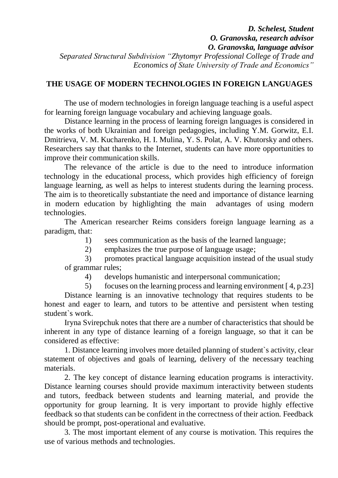## *D. Schelest, Student O. Granovska, research advisor O. Granovska, language advisor Separated Structural Subdivision "Zhytomyr Professional College of Trade and Economics of State University of Trade and Economics"*

## **THE USAGE OF MODERN TECHNOLOGIES IN FOREIGN LANGUAGES**

The use of modern technologies in foreign language teaching is a useful aspect for learning foreign language vocabulary and achieving language goals.

Distance learning in the process of learning foreign languages is considered in the works of both Ukrainian and foreign pedagogies, including Y.M. Gorwitz, E.I. Dmitrieva, V. M. Kucharenko, H. I. Mulina, Y. S. Polat, A. V. Khutorsky and others. Researchers say that thanks to the Internet, students can have more opportunities to improve their communication skills.

The relevance of the article is due to the need to introduce information technology in the educational process, which provides high efficiency of foreign language learning, as well as helps to interest students during the learning process. The aim is to theoretically substantiate the need and importance of distance learning in modern education by highlighting the main advantages of using modern technologies.

The American researcher Reims considers foreign language learning as a paradigm, that:

1) sees communication as the basis of the learned language;

2) emphasizes the true purpose of language usage;

3) promotes practical language acquisition instead of the usual study of grammar rules;

4) develops humanistic and interpersonal communication;

5) focuses on the learning process and learning environment [ 4, p.23] Distance learning is an innovative technology that requires students to be honest and eager to learn, and tutors to be attentive and persistent when testing student`s work.

Iryna Svirepchuk notes that there are a number of characteristics that should be inherent in any type of distance learning of a foreign language, so that it can be considered as effective:

1. Distance learning involves more detailed planning of student`s activity, clear statement of objectives and goals of learning, delivery of the necessary teaching materials.

2. The key concept of distance learning education programs is interactivity. Distance learning courses should provide maximum interactivity between students and tutors, feedback between students and learning material, and provide the opportunity for group learning. It is very important to provide highly effective feedback so that students can be confident in the correctness of their action. Feedback should be prompt, post-operational and evaluative.

3. The most important element of any course is motivation. This requires the use of various methods and technologies.